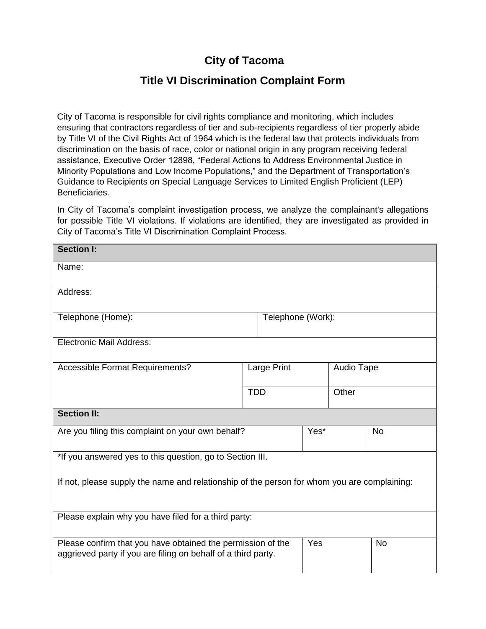## **City of Tacoma**

## **Title VI Discrimination Complaint Form**

City of Tacoma is responsible for civil rights compliance and monitoring, which includes ensuring that contractors regardless of tier and sub-recipients regardless of tier properly abide by Title VI of the Civil Rights Act of 1964 which is the federal law that protects individuals from discrimination on the basis of race, color or national origin in any program receiving federal assistance, Executive Order 12898, "Federal Actions to Address Environmental Justice in Minority Populations and Low Income Populations," and the Department of Transportation's Guidance to Recipients on Special Language Services to Limited English Proficient (LEP) Beneficiaries.

In City of Tacoma's complaint investigation process, we analyze the complainant's allegations for possible Title VI violations. If violations are identified, they are investigated as provided in City of Tacoma's Title VI Discrimination Complaint Process.

| <b>Section I:</b>                                                                                                            |             |                   |  |            |  |
|------------------------------------------------------------------------------------------------------------------------------|-------------|-------------------|--|------------|--|
| Name:                                                                                                                        |             |                   |  |            |  |
| Address:                                                                                                                     |             |                   |  |            |  |
| Telephone (Home):                                                                                                            |             | Telephone (Work): |  |            |  |
| <b>Electronic Mail Address:</b>                                                                                              |             |                   |  |            |  |
| <b>Accessible Format Requirements?</b>                                                                                       | Large Print |                   |  | Audio Tape |  |
|                                                                                                                              | <b>TDD</b>  |                   |  | Other      |  |
| <b>Section II:</b>                                                                                                           |             |                   |  |            |  |
| Are you filing this complaint on your own behalf?                                                                            |             | Yes*              |  | <b>No</b>  |  |
| *If you answered yes to this question, go to Section III.                                                                    |             |                   |  |            |  |
| If not, please supply the name and relationship of the person for whom you are complaining:                                  |             |                   |  |            |  |
| Please explain why you have filed for a third party:                                                                         |             |                   |  |            |  |
| Please confirm that you have obtained the permission of the<br>aggrieved party if you are filing on behalf of a third party. |             | Yes               |  | <b>No</b>  |  |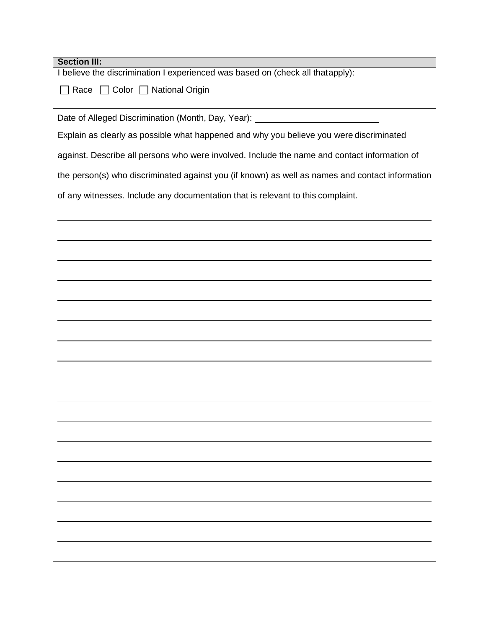| <b>Section III:</b>                                                                             |
|-------------------------------------------------------------------------------------------------|
| I believe the discrimination I experienced was based on (check all thatapply):                  |
| Race Color National Origin                                                                      |
|                                                                                                 |
| Date of Alleged Discrimination (Month, Day, Year): 2000 2010 2020 2021                          |
| Explain as clearly as possible what happened and why you believe you were discriminated         |
|                                                                                                 |
| against. Describe all persons who were involved. Include the name and contact information of    |
| the person(s) who discriminated against you (if known) as well as names and contact information |
| of any witnesses. Include any documentation that is relevant to this complaint.                 |
|                                                                                                 |
|                                                                                                 |
|                                                                                                 |
|                                                                                                 |
|                                                                                                 |
|                                                                                                 |
|                                                                                                 |
|                                                                                                 |
|                                                                                                 |
|                                                                                                 |
|                                                                                                 |
|                                                                                                 |
|                                                                                                 |
|                                                                                                 |
|                                                                                                 |
|                                                                                                 |
|                                                                                                 |
|                                                                                                 |
|                                                                                                 |
|                                                                                                 |
|                                                                                                 |
|                                                                                                 |
|                                                                                                 |
|                                                                                                 |